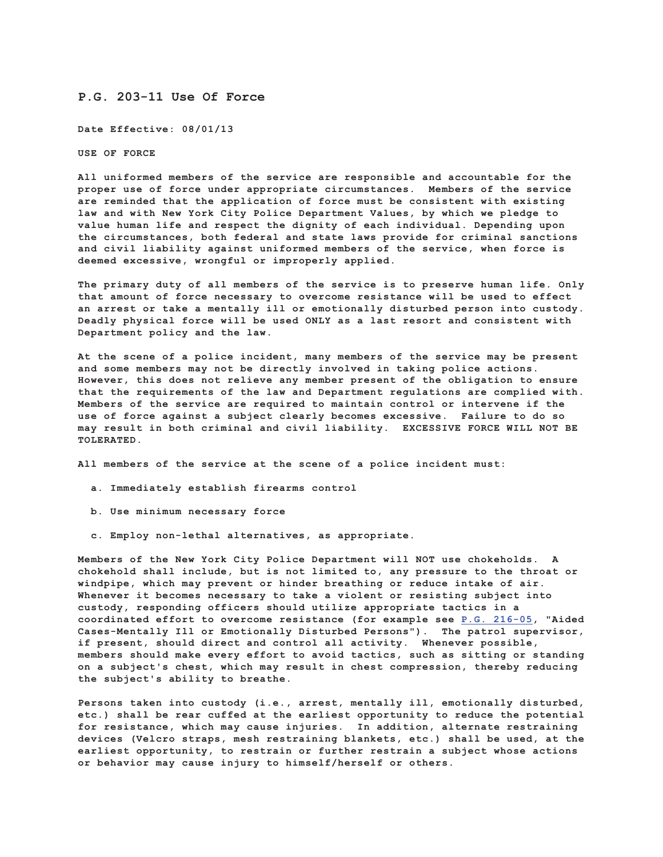## **P.G. 203-11 Use Of Force**

**Date Effective: 08/01/13**

**USE OF FORCE**

**All uniformed members of the service are responsible and accountable for the proper use of force under appropriate circumstances. Members of the service are reminded that the application of force must be consistent with existing law and with New York City Police Department Values, by which we pledge to value human life and respect the dignity of each individual. Depending upon the circumstances, both federal and state laws provide for criminal sanctions and civil liability against uniformed members of the service, when force is deemed excessive, wrongful or improperly applied.**

**The primary duty of all members of the service is to preserve human life. Only that amount of force necessary to overcome resistance will be used to effect an arrest or take a mentally ill or emotionally disturbed person into custody. Deadly physical force will be used ONLY as a last resort and consistent with Department policy and the law.**

**At the scene of a police incident, many members of the service may be present and some members may not be directly involved in taking police actions. However, this does not relieve any member present of the obligation to ensure that the requirements of the law and Department regulations are complied with. Members of the service are required to maintain control or intervene if the use of force against a subject clearly becomes excessive. Failure to do so may result in both criminal and civil liability. EXCESSIVE FORCE WILL NOT BE TOLERATED.**

**All members of the service at the scene of a police incident must:**

- **a. Immediately establish firearms control**
- **b. Use minimum necessary force**
- **c. Employ non-lethal alternatives, as appropriate.**

**Members of the New York City Police Department will NOT use chokeholds. A chokehold shall include, but is not limited to, any pressure to the throat or windpipe, which may prevent or hinder breathing or reduce intake of air. Whenever it becomes necessary to take a violent or resisting subject into custody, responding officers should utilize appropriate tactics in a coordinated effort to overcome resistance (for example see P.G. 216-05, "Aided Cases-Mentally Ill or Emotionally Disturbed Persons"). The patrol supervisor, if present, should direct and control all activity. Whenever possible, members should make every effort to avoid tactics, such as sitting or standing on a subject's chest, which may result in chest compression, thereby reducing the subject's ability to breathe.**

**Persons taken into custody (i.e., arrest, mentally ill, emotionally disturbed, etc.) shall be rear cuffed at the earliest opportunity to reduce the potential for resistance, which may cause injuries. In addition, alternate restraining devices (Velcro straps, mesh restraining blankets, etc.) shall be used, at the earliest opportunity, to restrain or further restrain a subject whose actions or behavior may cause injury to himself/herself or others.**